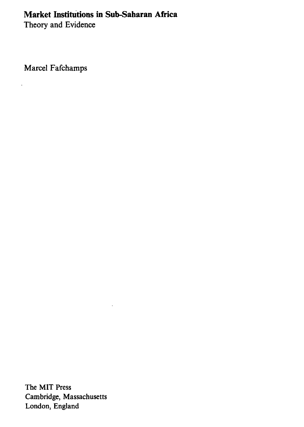## **Market Institutions in Sub-Saharan Africa**

Theory and Evidence

Marcel Fafchamps

 $\ddot{\phantom{a}}$ 

The MIT Press Cambridge, Massachusetts London, England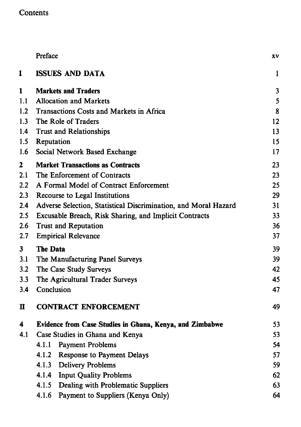## Contents

|     | Preface                                                         | XV |
|-----|-----------------------------------------------------------------|----|
| I   | <b>ISSUES AND DATA</b>                                          | 1  |
| 1   | <b>Markets and Traders</b>                                      | 3  |
| 1.1 | <b>Allocation and Markets</b>                                   | 5  |
| 1.2 | Transactions Costs and Markets in Africa                        | 8  |
| 1.3 | The Role of Traders                                             | 12 |
| 1.4 | <b>Trust and Relationships</b>                                  | 13 |
| 1.5 | Reputation                                                      | 15 |
| 1.6 | Social Network Based Exchange                                   | 17 |
| 2   | <b>Market Transactions as Contracts</b>                         | 23 |
| 2.1 | The Enforcement of Contracts                                    | 23 |
| 2.2 | A Formal Model of Contract Enforcement                          | 25 |
| 2.3 | Recourse to Legal Institutions                                  | 29 |
| 2.4 | Adverse Selection, Statistical Discrimination, and Moral Hazard | 31 |
| 2.5 | Excusable Breach, Risk Sharing, and Implicit Contracts          | 33 |
| 2.6 | <b>Trust and Reputation</b>                                     | 36 |
| 2.7 | <b>Empirical Relevance</b>                                      | 37 |
| 3   | The Data                                                        | 39 |
| 3.1 | The Manufacturing Panel Surveys                                 | 39 |
| 3.2 | The Case Study Surveys                                          | 42 |
| 3.3 | The Agricultural Trader Surveys                                 | 45 |
| 3.4 | Conclusion                                                      | 47 |
| п   | <b>CONTRACT ENFORCEMENT</b>                                     | 49 |
| 4   | Evidence from Case Studies in Ghana, Kenya, and Zimbabwe        | 53 |
| 4.1 | Case Studies in Ghana and Kenya                                 | 53 |
|     | 4.1.1<br><b>Payment Problems</b>                                | 54 |
|     | 4.1.2 Response to Payment Delays                                | 57 |
|     | 4.1.3 Delivery Problems                                         | 59 |
|     | 4.1.4 Input Quality Problems                                    | 62 |
|     | 4.1.5<br>Dealing with Problematic Suppliers                     | 63 |
|     | 4.1.6 Payment to Suppliers (Kenya Only)                         | 64 |
|     |                                                                 |    |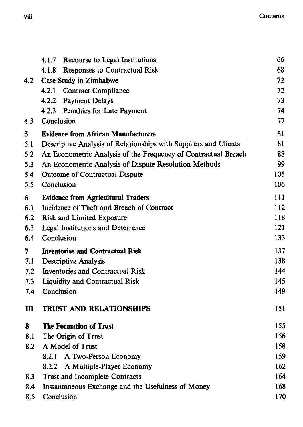|              | 4.1.7 Recourse to Legal Institutions                             | 66  |
|--------------|------------------------------------------------------------------|-----|
|              | 4.1.8 Responses to Contractual Risk                              | 68  |
| 4.2          | Case Study in Zimbabwe                                           | 72  |
|              | 4.2.1<br><b>Contract Compliance</b>                              | 72  |
|              | 4.2.2 Payment Delays                                             | 73  |
|              | 4.2.3 Penalties for Late Payment                                 | 74  |
| 4.3          | Conclusion                                                       | 77  |
| 5            | <b>Evidence from African Manufacturers</b>                       | 81  |
| 5.1          | Descriptive Analysis of Relationships with Suppliers and Clients | 81  |
| 5.2          | An Econometric Analysis of the Frequency of Contractual Breach   | 88  |
| 5.3          | An Econometric Analysis of Dispute Resolution Methods            | 99  |
| 5.4          | Outcome of Contractual Dispute                                   | 105 |
| 5.5          | Conclusion                                                       | 106 |
| 6            | <b>Evidence from Agricultural Traders</b>                        | 111 |
| 6.1          | Incidence of Theft and Breach of Contract                        | 112 |
| 6.2          | <b>Risk and Limited Exposure</b>                                 | 118 |
| 6.3          | <b>Legal Institutions and Deterrence</b>                         | 121 |
| 6.4          | Conclusion                                                       | 133 |
| 7            | <b>Inventories and Contractual Risk</b>                          | 137 |
| 7.1          | <b>Descriptive Analysis</b>                                      | 138 |
| 7.2          | <b>Inventories and Contractual Risk</b>                          | 144 |
| 7.3          | <b>Liquidity and Contractual Risk</b>                            | 145 |
| 7.4          | Conclusion                                                       | 149 |
| $\mathbf{m}$ | <b>TRUST AND RELATIONSHIPS</b>                                   | 151 |
| 8            | <b>The Formation of Trust</b>                                    | 155 |
| 8.1          | The Origin of Trust                                              | 156 |
| 8.2          | A Model of Trust                                                 | 158 |
|              | 8.2.1 A Two-Person Economy                                       | 159 |
|              | A Multiple-Player Economy<br>8.2.2                               | 162 |
| 8.3          | Trust and Incomplete Contracts                                   | 164 |
| 8.4          | Instantaneous Exchange and the Usefulness of Money               | 168 |
| 8.5          | Conclusion                                                       | 170 |
|              |                                                                  |     |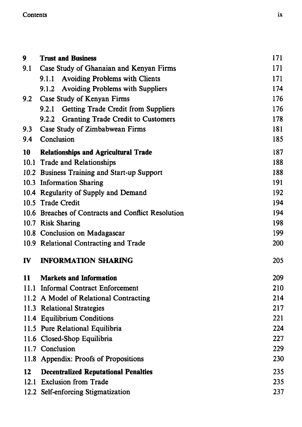## Contents

| 9   | <b>Trust and Business</b>                          | 171 |
|-----|----------------------------------------------------|-----|
| 9.1 | Case Study of Ghanaian and Kenyan Firms            | 171 |
|     | 9.1.1 Avoiding Problems with Clients               | 171 |
|     | 9.1.2 Avoiding Problems with Suppliers             | 174 |
| 9.2 | Case Study of Kenyan Firms                         | 176 |
|     | 9.2.1 Getting Trade Credit from Suppliers          | 176 |
|     | 9.2.2 Granting Trade Credit to Customers           | 178 |
| 9.3 | Case Study of Zimbabwean Firms                     | 181 |
| 9.4 | Conclusion                                         | 185 |
| 10  | <b>Relationships and Agricultural Trade</b>        | 187 |
|     | 10.1 Trade and Relationships                       | 188 |
|     | 10.2 Business Training and Start-up Support        | 188 |
|     | 10.3 Information Sharing                           | 191 |
|     | 10.4 Regularity of Supply and Demand               | 192 |
|     | 10.5 Trade Credit                                  | 194 |
|     | 10.6 Breaches of Contracts and Conflict Resolution | 194 |
|     | 10.7 Risk Sharing                                  | 198 |
|     | 10.8 Conclusion on Madagascar                      | 199 |
|     | 10.9 Relational Contracting and Trade              | 200 |
| IV  | <b>INFORMATION SHARING</b>                         | 205 |
| 11  | <b>Markets and Information</b>                     | 209 |
|     | 11.1 Informal Contract Enforcement                 | 210 |
|     | 11.2 A Model of Relational Contracting             | 214 |
|     | 11.3 Relational Strategies                         | 217 |
|     | 11.4 Equilibrium Conditions                        | 221 |
|     | 11.5 Pure Relational Equilibria                    | 224 |
|     | 11.6 Closed-Shop Equilibria                        | 227 |
|     | 11.7 Conclusion                                    | 229 |
|     | 11.8 Appendix: Proofs of Propositions              | 230 |
| 12  | <b>Decentralized Reputational Penalties</b>        | 235 |
|     | 12.1 Exclusion from Trade                          | 235 |
|     | 12.2 Self-enforcing Stigmatization                 | 237 |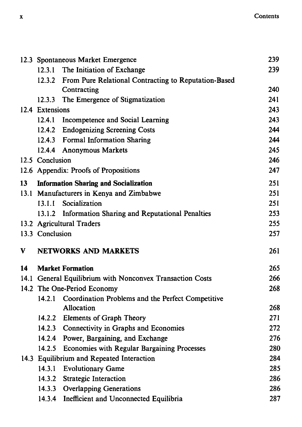|    |                         | 12.3 Spontaneous Market Emergence                           | 239 |
|----|-------------------------|-------------------------------------------------------------|-----|
|    |                         | 12.3.1 The Initiation of Exchange                           | 239 |
|    |                         | 12.3.2 From Pure Relational Contracting to Reputation-Based |     |
|    |                         | Contracting                                                 | 240 |
|    |                         | 12.3.3 The Emergence of Stigmatization                      | 241 |
|    | 12.4 Extensions         |                                                             | 243 |
|    |                         | 12.4.1 Incompetence and Social Learning                     | 243 |
|    |                         | 12.4.2 Endogenizing Screening Costs                         | 244 |
|    |                         | 12.4.3 Formal Information Sharing                           | 244 |
|    |                         | 12.4.4 Anonymous Markets                                    | 245 |
|    | 12.5 Conclusion         |                                                             | 246 |
|    |                         | 12.6 Appendix: Proofs of Propositions                       | 247 |
| 13 |                         | <b>Information Sharing and Socialization</b>                | 251 |
|    |                         | 13.1 Manufacturers in Kenya and Zimbabwe                    | 251 |
|    |                         | 13.1.1 Socialization                                        | 251 |
|    |                         | 13.1.2 Information Sharing and Reputational Penalties       | 253 |
|    |                         | 13.2 Agricultural Traders                                   | 255 |
|    | 13.3 Conclusion         |                                                             | 257 |
| V  |                         | <b>NETWORKS AND MARKETS</b>                                 | 261 |
|    |                         |                                                             |     |
| 14 | <b>Market Formation</b> |                                                             | 265 |
|    |                         | 14.1 General Equilibrium with Nonconvex Transaction Costs   | 266 |
|    |                         | 14.2 The One-Period Economy                                 | 268 |
|    |                         | 14.2.1 Coordination Problems and the Perfect Competitive    |     |
|    |                         | Allocation                                                  | 268 |
|    |                         | 14.2.2 Elements of Graph Theory                             | 271 |
|    |                         | 14.2.3 Connectivity in Graphs and Economies                 | 272 |
|    |                         | 14.2.4 Power, Bargaining, and Exchange                      | 276 |
|    |                         | 14.2.5 Economies with Regular Bargaining Processes          | 280 |
|    |                         | 14.3 Equilibrium and Repeated Interaction                   | 284 |
|    |                         | 14.3.1 Evolutionary Game                                    | 285 |
|    |                         | 14.3.2 Strategic Interaction                                | 286 |
|    |                         | 14.3.3 Overlapping Generations                              | 286 |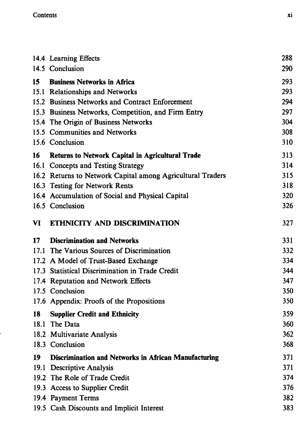.

|    | 14.4 Learning Effects                                       | 288        |
|----|-------------------------------------------------------------|------------|
|    | 14.5 Conclusion                                             | 290        |
| 15 | <b>Business Networks in Africa</b>                          | 293        |
|    | 15.1 Relationships and Networks                             | 293        |
|    | 15.2 Business Networks and Contract Enforcement             | 294        |
|    | 15.3 Business Networks, Competition, and Firm Entry         | 297        |
|    | 15.4 The Origin of Business Networks                        | 304        |
|    | 15.5 Communities and Networks                               | 308        |
|    | 15.6 Conclusion                                             | 310        |
| 16 | Returns to Network Capital in Agricultural Trade            | 313        |
|    | 16.1 Concepts and Testing Strategy                          | 314        |
|    | 16.2 Returns to Network Capital among Agricultural Traders  | 315        |
|    | 16.3 Testing for Network Rents                              | 318        |
|    | 16.4 Accumulation of Social and Physical Capital            | 320        |
|    | 16.5 Conclusion                                             | 326        |
| VI | ETHNICITY AND DISCRIMINATION                                | 327        |
| 17 | <b>Discrimination and Networks</b>                          | 331        |
|    | 17.1 The Various Sources of Discrimination                  | 332        |
|    | 17.2 A Model of Trust-Based Exchange                        | 334        |
|    | 17.3 Statistical Discrimination in Trade Credit             | 344        |
|    | 17.4 Reputation and Network Effects                         | 347        |
|    | 17.5 Conclusion                                             | 350        |
|    | 17.6 Appendix: Proofs of the Propositions                   | 350        |
| 18 | <b>Supplier Credit and Ethnicity</b>                        | 359        |
|    | 18.1 The Data                                               | 360        |
|    | 18.2 Multivariate Analysis                                  | 362        |
|    | 18.3 Conclusion                                             | 368        |
| 19 | <b>Discrimination and Networks in African Manufacturing</b> | 371        |
|    |                                                             |            |
|    | 19.1 Descriptive Analysis                                   | 371        |
|    | 19.2 The Role of Trade Credit                               | 374        |
|    | 19.3 Access to Supplier Credit                              | 376        |
|    | 19.4 Payment Terms                                          | 382<br>383 |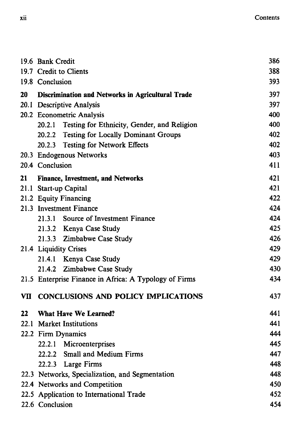|    | 19.6 Bank Credit                                         |     |  |
|----|----------------------------------------------------------|-----|--|
|    | 19.7 Credit to Clients                                   |     |  |
|    | 19.8 Conclusion                                          |     |  |
| 20 | <b>Discrimination and Networks in Agricultural Trade</b> | 397 |  |
|    | 20.1 Descriptive Analysis                                | 397 |  |
|    | 20.2 Econometric Analysis                                | 400 |  |
|    | 20.2.1 Testing for Ethnicity, Gender, and Religion       | 400 |  |
|    | 20.2.2 Testing for Locally Dominant Groups               | 402 |  |
|    | 20.2.3 Testing for Network Effects                       | 402 |  |
|    | 20.3 Endogenous Networks                                 | 403 |  |
|    | 20.4 Conclusion                                          | 411 |  |
| 21 | <b>Finance, Investment, and Networks</b>                 | 421 |  |
|    | 21.1 Start-up Capital                                    | 421 |  |
|    | 21.2 Equity Financing                                    | 422 |  |
|    | 21.3 Investment Finance                                  | 424 |  |
|    | 21.3.1 Source of Investment Finance                      | 424 |  |
|    | 21.3.2 Kenya Case Study                                  | 425 |  |
|    | 21.3.3 Zimbabwe Case Study                               | 426 |  |
|    | 21.4 Liquidity Crises                                    | 429 |  |
|    | 21.4.1 Kenya Case Study                                  | 429 |  |
|    | 21.4.2 Zimbabwe Case Study                               | 430 |  |
|    | 21.5 Enterprise Finance in Africa: A Typology of Firms   | 434 |  |
| VП | <b>CONCLUSIONS AND POLICY IMPLICATIONS</b>               | 437 |  |
| 22 | <b>What Have We Learned?</b>                             | 441 |  |
|    | 22.1 Market Institutions                                 | 441 |  |
|    | 22.2 Firm Dynamics                                       | 444 |  |
|    | 22.2.1 Microenterprises                                  | 445 |  |
|    | 22.2.2 Small and Medium Firms                            | 447 |  |
|    | 22.2.3 Large Firms                                       | 448 |  |
|    | 22.3 Networks, Specialization, and Segmentation          | 448 |  |
|    | 22.4 Networks and Competition                            | 450 |  |
|    | 22.5 Application to International Trade                  | 452 |  |
|    | 22.6 Conclusion                                          |     |  |